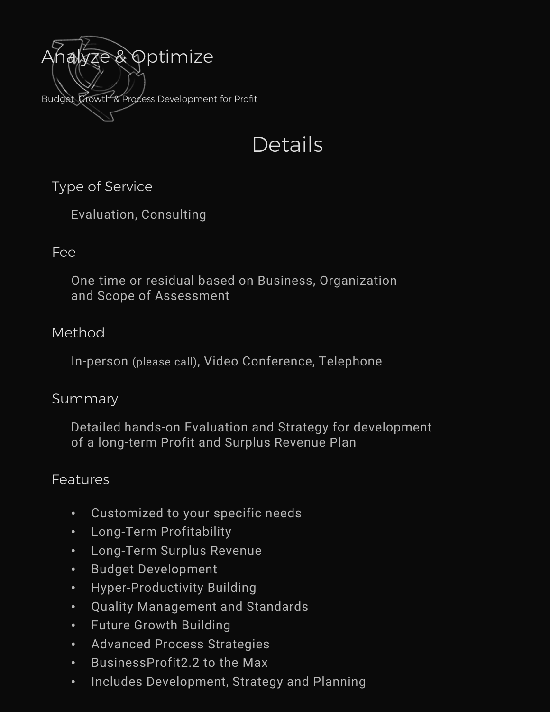

# Details

Type of Service

Evaluation, Consulting

# Fee

One-time or residual based on Business, Organization and Scope of Assessment

# Method

In-person (please call), Video Conference, Telephone

#### Summary

Detailed hands-on Evaluation and Strategy for development of a long-term Profit and Surplus Revenue Plan

#### Features

- Customized to your specific needs
- Long-Term Profitability
- Long-Term Surplus Revenue
- Budget Development
- Hyper-Productivity Building
- Quality Management and Standards
- Future Growth Building
- Advanced Process Strategies
- BusinessProfit2.2 to the Max
- Includes Development, Strategy and Planning